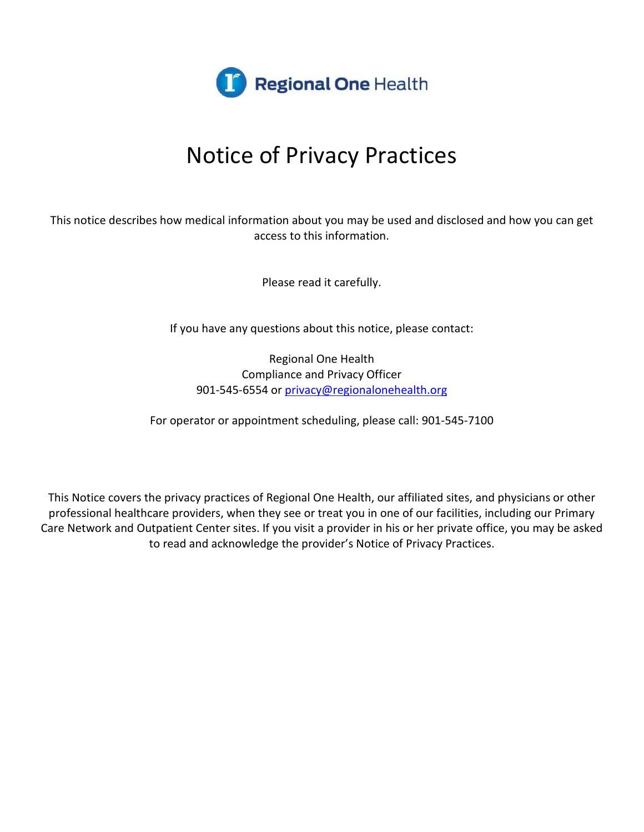

This notice describes how medical information about you may be used and disclosed and how you can get access to this information.

Please read it carefully.

If you have any questions about this notice, please contact:

Regional One Health Compliance and Privacy Officer 901-545-6554 or [privacy@regionalonehealth.org](mailto:privacy@regionalonehealth.org)

For operator or appointment scheduling, please call: 901-545-7100

This Notice covers the privacy practices of Regional One Health, our affiliated sites, and physicians or other professional healthcare providers, when they see or treat you in one of our facilities, including our Primary Care Network and Outpatient Center sites. If you visit a provider in his or her private office, you may be asked to read and acknowledge the provider's Notice of Privacy Practices.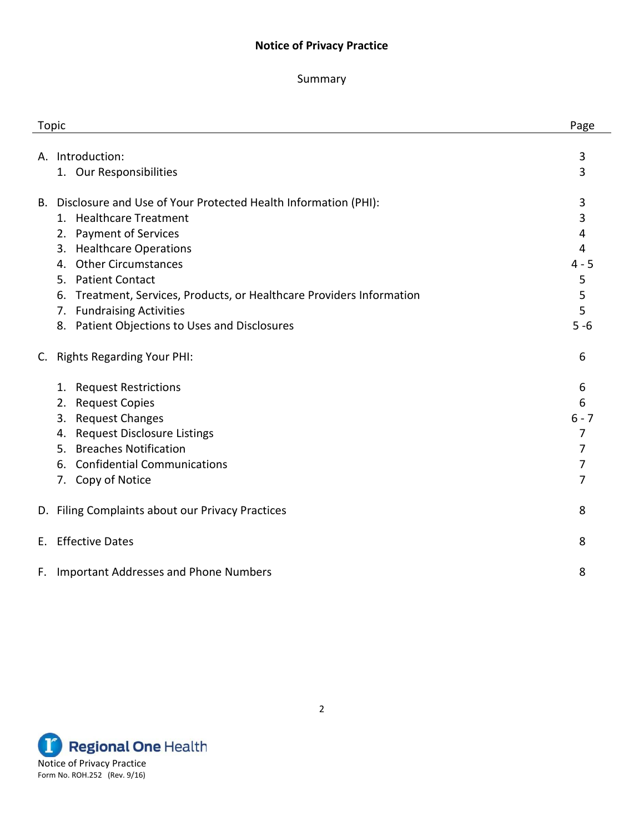### Summary

| <b>Topic</b>                                                             | Page    |
|--------------------------------------------------------------------------|---------|
|                                                                          |         |
| Introduction:<br>А.                                                      | 3       |
| 1. Our Responsibilities                                                  | 3       |
| Disclosure and Use of Your Protected Health Information (PHI):<br>В.     | 3       |
| 1. Healthcare Treatment                                                  | 3       |
| 2. Payment of Services                                                   | 4       |
| <b>Healthcare Operations</b><br>3.                                       | 4       |
| <b>Other Circumstances</b><br>4.                                         | $4 - 5$ |
| <b>Patient Contact</b><br>5.                                             | 5       |
| Treatment, Services, Products, or Healthcare Providers Information<br>6. | 5       |
| 7. Fundraising Activities                                                | 5       |
| 8. Patient Objections to Uses and Disclosures                            | $5 - 6$ |
| <b>Rights Regarding Your PHI:</b><br>C.                                  | 6       |
| <b>Request Restrictions</b><br>1.                                        | 6       |
| <b>Request Copies</b><br>2.                                              | 6       |
| <b>Request Changes</b><br>3.                                             | $6 - 7$ |
| <b>Request Disclosure Listings</b><br>4.                                 | 7       |
| <b>Breaches Notification</b><br>5.                                       | 7       |
| <b>Confidential Communications</b><br>6.                                 | 7       |
| 7. Copy of Notice                                                        | 7       |
| D. Filing Complaints about our Privacy Practices                         | 8       |
| <b>Effective Dates</b><br>F.                                             | 8       |
| <b>Important Addresses and Phone Numbers</b><br>F.                       | 8       |

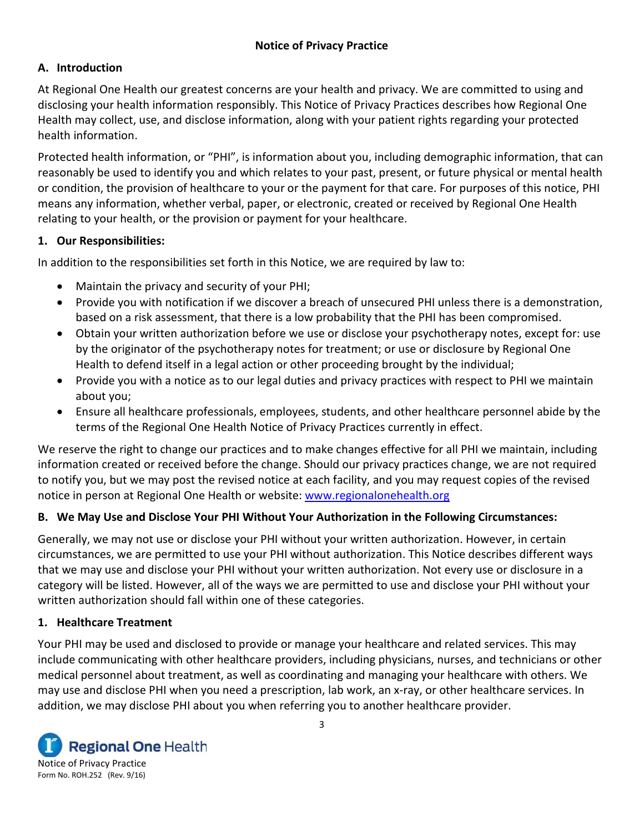## **A. Introduction**

At Regional One Health our greatest concerns are your health and privacy. We are committed to using and disclosing your health information responsibly. This Notice of Privacy Practices describes how Regional One Health may collect, use, and disclose information, along with your patient rights regarding your protected health information.

Protected health information, or "PHI", is information about you, including demographic information, that can reasonably be used to identify you and which relates to your past, present, or future physical or mental health or condition, the provision of healthcare to your or the payment for that care. For purposes of this notice, PHI means any information, whether verbal, paper, or electronic, created or received by Regional One Health relating to your health, or the provision or payment for your healthcare.

## **1. Our Responsibilities:**

In addition to the responsibilities set forth in this Notice, we are required by law to:

- Maintain the privacy and security of your PHI;
- Provide you with notification if we discover a breach of unsecured PHI unless there is a demonstration, based on a risk assessment, that there is a low probability that the PHI has been compromised.
- Obtain your written authorization before we use or disclose your psychotherapy notes, except for: use by the originator of the psychotherapy notes for treatment; or use or disclosure by Regional One Health to defend itself in a legal action or other proceeding brought by the individual;
- Provide you with a notice as to our legal duties and privacy practices with respect to PHI we maintain about you;
- Ensure all healthcare professionals, employees, students, and other healthcare personnel abide by the terms of the Regional One Health Notice of Privacy Practices currently in effect.

We reserve the right to change our practices and to make changes effective for all PHI we maintain, including information created or received before the change. Should our privacy practices change, we are not required to notify you, but we may post the revised notice at each facility, and you may request copies of the revised notice in person at Regional One Health or website: [www.regionalonehealth.org](http://www.regionalonehealth.org/)

# **B. We May Use and Disclose Your PHI Without Your Authorization in the Following Circumstances:**

Generally, we may not use or disclose your PHI without your written authorization. However, in certain circumstances, we are permitted to use your PHI without authorization. This Notice describes different ways that we may use and disclose your PHI without your written authorization. Not every use or disclosure in a category will be listed. However, all of the ways we are permitted to use and disclose your PHI without your written authorization should fall within one of these categories.

# **1. Healthcare Treatment**

Your PHI may be used and disclosed to provide or manage your healthcare and related services. This may include communicating with other healthcare providers, including physicians, nurses, and technicians or other medical personnel about treatment, as well as coordinating and managing your healthcare with others. We may use and disclose PHI when you need a prescription, lab work, an x-ray, or other healthcare services. In addition, we may disclose PHI about you when referring you to another healthcare provider.

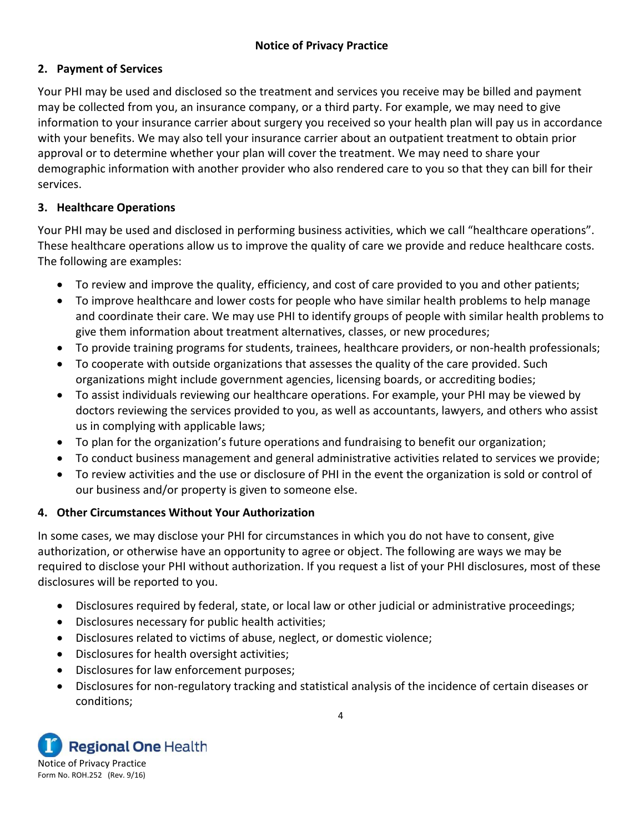# **2. Payment of Services**

Your PHI may be used and disclosed so the treatment and services you receive may be billed and payment may be collected from you, an insurance company, or a third party. For example, we may need to give information to your insurance carrier about surgery you received so your health plan will pay us in accordance with your benefits. We may also tell your insurance carrier about an outpatient treatment to obtain prior approval or to determine whether your plan will cover the treatment. We may need to share your demographic information with another provider who also rendered care to you so that they can bill for their services.

# **3. Healthcare Operations**

Your PHI may be used and disclosed in performing business activities, which we call "healthcare operations". These healthcare operations allow us to improve the quality of care we provide and reduce healthcare costs. The following are examples:

- To review and improve the quality, efficiency, and cost of care provided to you and other patients;
- To improve healthcare and lower costs for people who have similar health problems to help manage and coordinate their care. We may use PHI to identify groups of people with similar health problems to give them information about treatment alternatives, classes, or new procedures;
- To provide training programs for students, trainees, healthcare providers, or non-health professionals;
- To cooperate with outside organizations that assesses the quality of the care provided. Such organizations might include government agencies, licensing boards, or accrediting bodies;
- To assist individuals reviewing our healthcare operations. For example, your PHI may be viewed by doctors reviewing the services provided to you, as well as accountants, lawyers, and others who assist us in complying with applicable laws;
- To plan for the organization's future operations and fundraising to benefit our organization;
- To conduct business management and general administrative activities related to services we provide;
- To review activities and the use or disclosure of PHI in the event the organization is sold or control of our business and/or property is given to someone else.

# **4. Other Circumstances Without Your Authorization**

In some cases, we may disclose your PHI for circumstances in which you do not have to consent, give authorization, or otherwise have an opportunity to agree or object. The following are ways we may be required to disclose your PHI without authorization. If you request a list of your PHI disclosures, most of these disclosures will be reported to you.

- Disclosures required by federal, state, or local law or other judicial or administrative proceedings;
- Disclosures necessary for public health activities;
- Disclosures related to victims of abuse, neglect, or domestic violence;
- Disclosures for health oversight activities;
- Disclosures for law enforcement purposes;
- Disclosures for non-regulatory tracking and statistical analysis of the incidence of certain diseases or conditions;

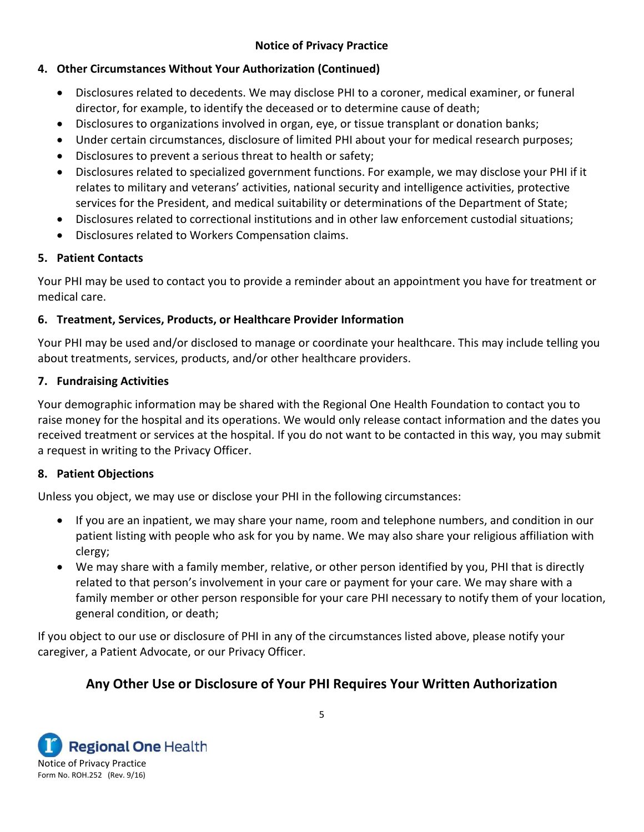## **4. Other Circumstances Without Your Authorization (Continued)**

- Disclosures related to decedents. We may disclose PHI to a coroner, medical examiner, or funeral director, for example, to identify the deceased or to determine cause of death;
- Disclosures to organizations involved in organ, eye, or tissue transplant or donation banks;
- Under certain circumstances, disclosure of limited PHI about your for medical research purposes;
- Disclosures to prevent a serious threat to health or safety;
- Disclosures related to specialized government functions. For example, we may disclose your PHI if it relates to military and veterans' activities, national security and intelligence activities, protective services for the President, and medical suitability or determinations of the Department of State;
- Disclosures related to correctional institutions and in other law enforcement custodial situations;
- Disclosures related to Workers Compensation claims.

#### **5. Patient Contacts**

Your PHI may be used to contact you to provide a reminder about an appointment you have for treatment or medical care.

## **6. Treatment, Services, Products, or Healthcare Provider Information**

Your PHI may be used and/or disclosed to manage or coordinate your healthcare. This may include telling you about treatments, services, products, and/or other healthcare providers.

## **7. Fundraising Activities**

Your demographic information may be shared with the Regional One Health Foundation to contact you to raise money for the hospital and its operations. We would only release contact information and the dates you received treatment or services at the hospital. If you do not want to be contacted in this way, you may submit a request in writing to the Privacy Officer.

#### **8. Patient Objections**

Unless you object, we may use or disclose your PHI in the following circumstances:

- If you are an inpatient, we may share your name, room and telephone numbers, and condition in our patient listing with people who ask for you by name. We may also share your religious affiliation with clergy;
- We may share with a family member, relative, or other person identified by you, PHI that is directly related to that person's involvement in your care or payment for your care. We may share with a family member or other person responsible for your care PHI necessary to notify them of your location, general condition, or death;

If you object to our use or disclosure of PHI in any of the circumstances listed above, please notify your caregiver, a Patient Advocate, or our Privacy Officer.

# **Any Other Use or Disclosure of Your PHI Requires Your Written Authorization**

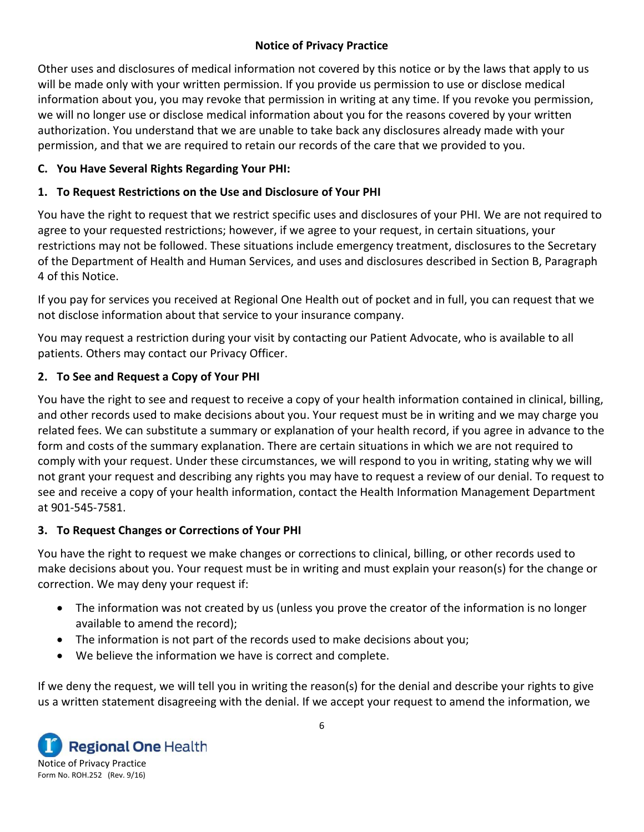Other uses and disclosures of medical information not covered by this notice or by the laws that apply to us will be made only with your written permission. If you provide us permission to use or disclose medical information about you, you may revoke that permission in writing at any time. If you revoke you permission, we will no longer use or disclose medical information about you for the reasons covered by your written authorization. You understand that we are unable to take back any disclosures already made with your permission, and that we are required to retain our records of the care that we provided to you.

## **C. You Have Several Rights Regarding Your PHI:**

# **1. To Request Restrictions on the Use and Disclosure of Your PHI**

You have the right to request that we restrict specific uses and disclosures of your PHI. We are not required to agree to your requested restrictions; however, if we agree to your request, in certain situations, your restrictions may not be followed. These situations include emergency treatment, disclosures to the Secretary of the Department of Health and Human Services, and uses and disclosures described in Section B, Paragraph 4 of this Notice.

If you pay for services you received at Regional One Health out of pocket and in full, you can request that we not disclose information about that service to your insurance company.

You may request a restriction during your visit by contacting our Patient Advocate, who is available to all patients. Others may contact our Privacy Officer.

# **2. To See and Request a Copy of Your PHI**

You have the right to see and request to receive a copy of your health information contained in clinical, billing, and other records used to make decisions about you. Your request must be in writing and we may charge you related fees. We can substitute a summary or explanation of your health record, if you agree in advance to the form and costs of the summary explanation. There are certain situations in which we are not required to comply with your request. Under these circumstances, we will respond to you in writing, stating why we will not grant your request and describing any rights you may have to request a review of our denial. To request to see and receive a copy of your health information, contact the Health Information Management Department at 901-545-7581.

## **3. To Request Changes or Corrections of Your PHI**

You have the right to request we make changes or corrections to clinical, billing, or other records used to make decisions about you. Your request must be in writing and must explain your reason(s) for the change or correction. We may deny your request if:

- The information was not created by us (unless you prove the creator of the information is no longer available to amend the record);
- The information is not part of the records used to make decisions about you;
- We believe the information we have is correct and complete.

If we deny the request, we will tell you in writing the reason(s) for the denial and describe your rights to give us a written statement disagreeing with the denial. If we accept your request to amend the information, we

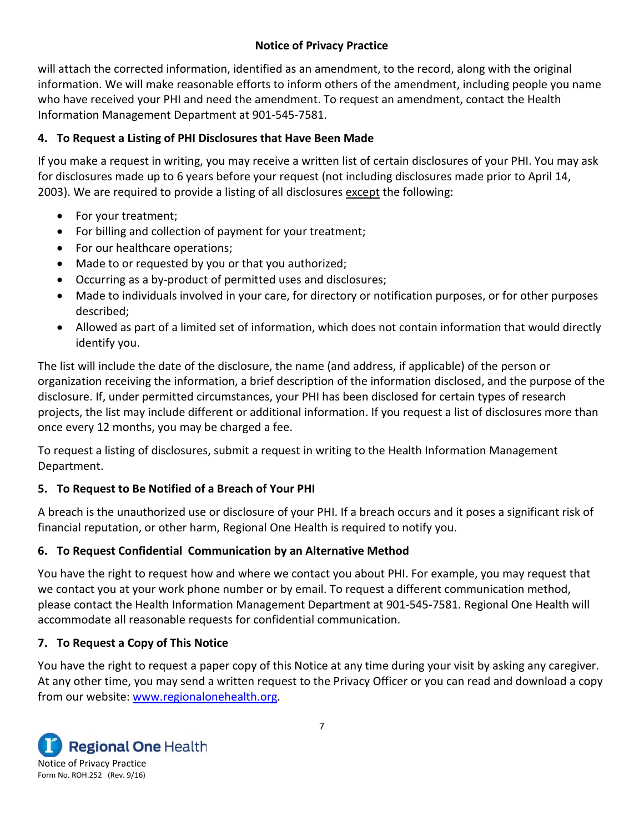will attach the corrected information, identified as an amendment, to the record, along with the original information. We will make reasonable efforts to inform others of the amendment, including people you name who have received your PHI and need the amendment. To request an amendment, contact the Health Information Management Department at 901-545-7581.

# **4. To Request a Listing of PHI Disclosures that Have Been Made**

If you make a request in writing, you may receive a written list of certain disclosures of your PHI. You may ask for disclosures made up to 6 years before your request (not including disclosures made prior to April 14, 2003). We are required to provide a listing of all disclosures except the following:

- For your treatment;
- For billing and collection of payment for your treatment;
- For our healthcare operations;
- Made to or requested by you or that you authorized;
- Occurring as a by-product of permitted uses and disclosures;
- Made to individuals involved in your care, for directory or notification purposes, or for other purposes described;
- Allowed as part of a limited set of information, which does not contain information that would directly identify you.

The list will include the date of the disclosure, the name (and address, if applicable) of the person or organization receiving the information, a brief description of the information disclosed, and the purpose of the disclosure. If, under permitted circumstances, your PHI has been disclosed for certain types of research projects, the list may include different or additional information. If you request a list of disclosures more than once every 12 months, you may be charged a fee.

To request a listing of disclosures, submit a request in writing to the Health Information Management Department.

# **5. To Request to Be Notified of a Breach of Your PHI**

A breach is the unauthorized use or disclosure of your PHI. If a breach occurs and it poses a significant risk of financial reputation, or other harm, Regional One Health is required to notify you.

# **6. To Request Confidential Communication by an Alternative Method**

You have the right to request how and where we contact you about PHI. For example, you may request that we contact you at your work phone number or by email. To request a different communication method, please contact the Health Information Management Department at 901-545-7581. Regional One Health will accommodate all reasonable requests for confidential communication.

# **7. To Request a Copy of This Notice**

You have the right to request a paper copy of this Notice at any time during your visit by asking any caregiver. At any other time, you may send a written request to the Privacy Officer or you can read and download a copy from our website: [www.regionalonehealth.org.](http://www.regionalonehealth.org/)